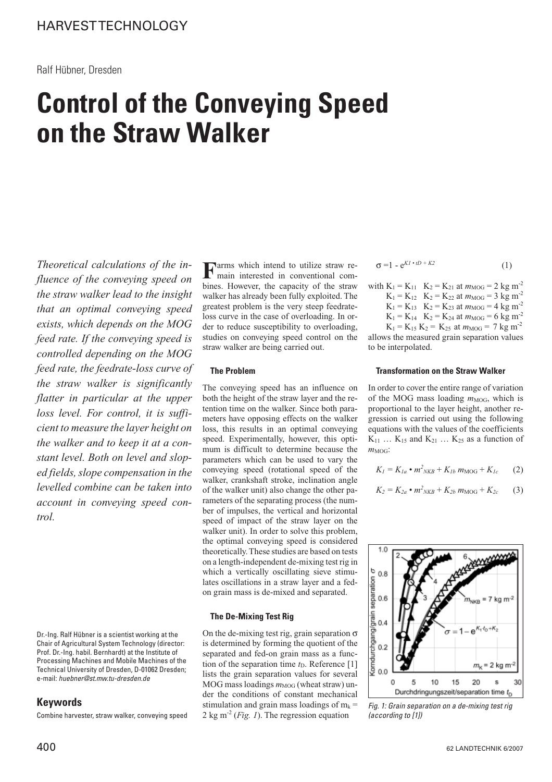# **Control of the Conveying Speed on the Straw Walker**

*Theoretical calculations of the influence of the conveying speed on the straw walker lead to the insight that an optimal conveying speed exists, which depends on the MOG feed rate. If the conveying speed is controlled depending on the MOG feed rate, the feedrate-loss curve of the straw walker is significantly flatter in particular at the upper loss level. For control, it is sufficient to measure the layer height on the walker and to keep it at a constant level. Both on level and sloped fields, slope compensation in the levelled combine can be taken into account in conveying speed control.*

Dr.-Ing. Ralf Hübner is a scientist working at the Chair of Agricultural System Technology (director: Prof. Dr.-Ing. habil. Bernhardt) at the Institute of Processing Machines and Mobile Machines of the Technical University of Dresden, D-01062 Dresden; e-mail: huebner@st.mw.tu-dresden.de

## **Keywords**

Combine harvester, straw walker, conveying speed

**F**arms which intend to utilize straw re-<br>main interested in conventional combines. However, the capacity of the straw walker has already been fully exploited. The greatest problem is the very steep feedrateloss curve in the case of overloading. In order to reduce susceptibility to overloading, studies on conveying speed control on the straw walker are being carried out.

## **The Problem**

The conveying speed has an influence on both the height of the straw layer and the retention time on the walker. Since both parameters have opposing effects on the walker loss, this results in an optimal conveying speed. Experimentally, however, this optimum is difficult to determine because the parameters which can be used to vary the conveying speed (rotational speed of the walker, crankshaft stroke, inclination angle of the walker unit) also change the other parameters of the separating process (the number of impulses, the vertical and horizontal speed of impact of the straw layer on the walker unit). In order to solve this problem, the optimal conveying speed is considered theoretically. These studies are based on tests on a length-independent de-mixing test rig in which a vertically oscillating sieve stimulates oscillations in a straw layer and a fedon grain mass is de-mixed and separated.

## **The De-Mixing Test Rig**

On the de-mixing test rig, grain separation  $\sigma$ is determined by forming the quotient of the separated and fed-on grain mass as a function of the separation time  $t<sub>D</sub>$ . Reference [1] lists the grain separation values for several MOG mass loadings  $m_{MOG}$  (wheat straw) under the conditions of constant mechanical stimulation and grain mass loadings of  $m_k =$ 2 kg m-2 (*Fig. 1*). The regression equation

$$
\sigma = 1 - e^{KI \cdot tD + K2} \tag{1}
$$

with 
$$
K_1 = K_{11}
$$
  $K_2 = K_{21}$  at  $m_{MOG} = 2$  kg m<sup>-2</sup>  
 $K_1 = K_{12}$   $K_2 = K_{22}$  at  $m_{MOG} = 3$  kg m<sup>-2</sup>

- $K_1 = K_{13}$   $K_2 = K_{23}$  at  $m_{MOG} = 4$  kg m<sup>-2</sup>
- $K_1 = K_{14}$   $K_2 = K_{24}$  at  $m_{MOG} = 6$  kg m<sup>-2</sup>

 $K_1 = K_{15} K_2 = K_{25}$  at  $m_{MOG} = 7 kg m^{-2}$ allows the measured grain separation values to be interpolated.

## **Transformation on the Straw Walker**

In order to cover the entire range of variation of the MOG mass loading  $m_{MOG}$ , which is proportional to the layer height, another regression is carried out using the following equations with the values of the coefficients  $K_{11}$  …  $K_{15}$  and  $K_{21}$  …  $K_{25}$  as a function of  $m_{MOG}$ :

$$
K_l = K_{la} \cdot m^2_{NKB} + K_{lb} \, m_{MOG} + K_{lc} \qquad (2)
$$

$$
K_2 = K_{2a} \cdot m^2{}_{NKB} + K_{2b} \, m_{\text{MOG}} + K_{2c} \qquad (3)
$$



Fig. 1: Grain separation on a de-mixing test rig (according to [1])